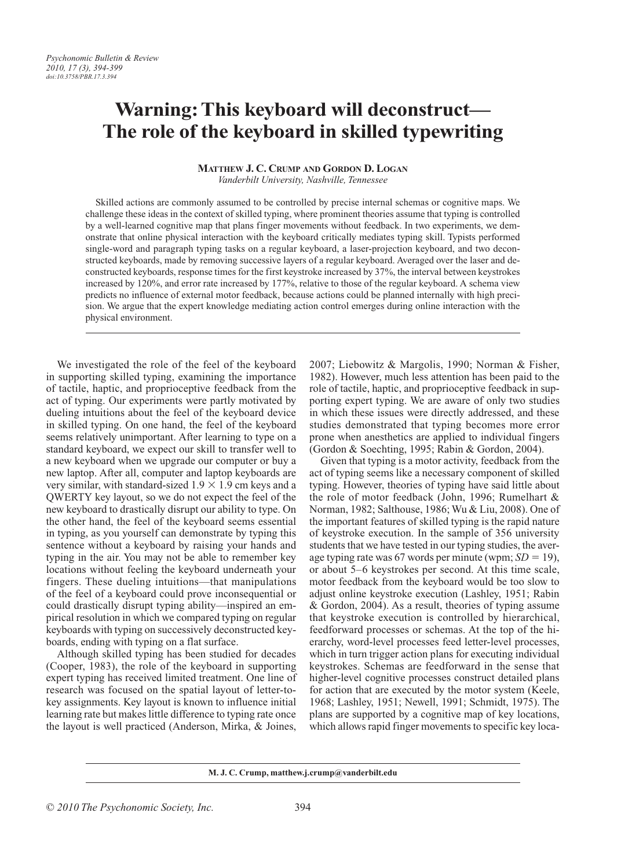# **Warning: This keyboard will deconstruct— The role of the keyboard in skilled typewriting**

## **Matthew J. C. Crump and Gordon D. Logan**

*Vanderbilt University, Nashville, Tennessee*

Skilled actions are commonly assumed to be controlled by precise internal schemas or cognitive maps. We challenge these ideas in the context of skilled typing, where prominent theories assume that typing is controlled by a well-learned cognitive map that plans finger movements without feedback. In two experiments, we demonstrate that online physical interaction with the keyboard critically mediates typing skill. Typists performed single-word and paragraph typing tasks on a regular keyboard, a laser-projection keyboard, and two deconstructed keyboards, made by removing successive layers of a regular keyboard. Averaged over the laser and deconstructed keyboards, response times for the first keystroke increased by 37%, the interval between keystrokes increased by 120%, and error rate increased by 177%, relative to those of the regular keyboard. A schema view predicts no influence of external motor feedback, because actions could be planned internally with high precision. We argue that the expert knowledge mediating action control emerges during online interaction with the physical environment.

We investigated the role of the feel of the keyboard in supporting skilled typing, examining the importance of tactile, haptic, and proprioceptive feedback from the act of typing. Our experiments were partly motivated by dueling intuitions about the feel of the keyboard device in skilled typing. On one hand, the feel of the keyboard seems relatively unimportant. After learning to type on a standard keyboard, we expect our skill to transfer well to a new keyboard when we upgrade our computer or buy a new laptop. After all, computer and laptop keyboards are very similar, with standard-sized  $1.9 \times 1.9$  cm keys and a QWERTY key layout, so we do not expect the feel of the new keyboard to drastically disrupt our ability to type. On the other hand, the feel of the keyboard seems essential in typing, as you yourself can demonstrate by typing this sentence without a keyboard by raising your hands and typing in the air. You may not be able to remember key locations without feeling the keyboard underneath your fingers. These dueling intuitions—that manipulations of the feel of a keyboard could prove inconsequential or could drastically disrupt typing ability—inspired an empirical resolution in which we compared typing on regular keyboards with typing on successively deconstructed keyboards, ending with typing on a flat surface.

Although skilled typing has been studied for decades (Cooper, 1983), the role of the keyboard in supporting expert typing has received limited treatment. One line of research was focused on the spatial layout of letter-tokey assignments. Key layout is known to influence initial learning rate but makes little difference to typing rate once the layout is well practiced (Anderson, Mirka, & Joines,

2007; Liebowitz & Margolis, 1990; Norman & Fisher, 1982). However, much less attention has been paid to the role of tactile, haptic, and proprioceptive feedback in supporting expert typing. We are aware of only two studies in which these issues were directly addressed, and these studies demonstrated that typing becomes more error prone when anesthetics are applied to individual fingers (Gordon & Soechting, 1995; Rabin & Gordon, 2004).

Given that typing is a motor activity, feedback from the act of typing seems like a necessary component of skilled typing. However, theories of typing have said little about the role of motor feedback (John, 1996; Rumelhart & Norman, 1982; Salthouse, 1986; Wu & Liu, 2008). One of the important features of skilled typing is the rapid nature of keystroke execution. In the sample of 356 university students that we have tested in our typing studies, the average typing rate was 67 words per minute (wpm;  $SD = 19$ ), or about 5–6 keystrokes per second. At this time scale, motor feedback from the keyboard would be too slow to adjust online keystroke execution (Lashley, 1951; Rabin & Gordon, 2004). As a result, theories of typing assume that keystroke execution is controlled by hierarchical, feedforward processes or schemas. At the top of the hierarchy, word-level processes feed letter-level processes, which in turn trigger action plans for executing individual keystrokes. Schemas are feedforward in the sense that higher-level cognitive processes construct detailed plans for action that are executed by the motor system (Keele, 1968; Lashley, 1951; Newell, 1991; Schmidt, 1975). The plans are supported by a cognitive map of key locations, which allows rapid finger movements to specific key loca-

#### **M. J. C. Crump, matthew.j.crump@vanderbilt.edu**

<sup>©</sup> *2010 The Psychonomic Society, Inc.* 394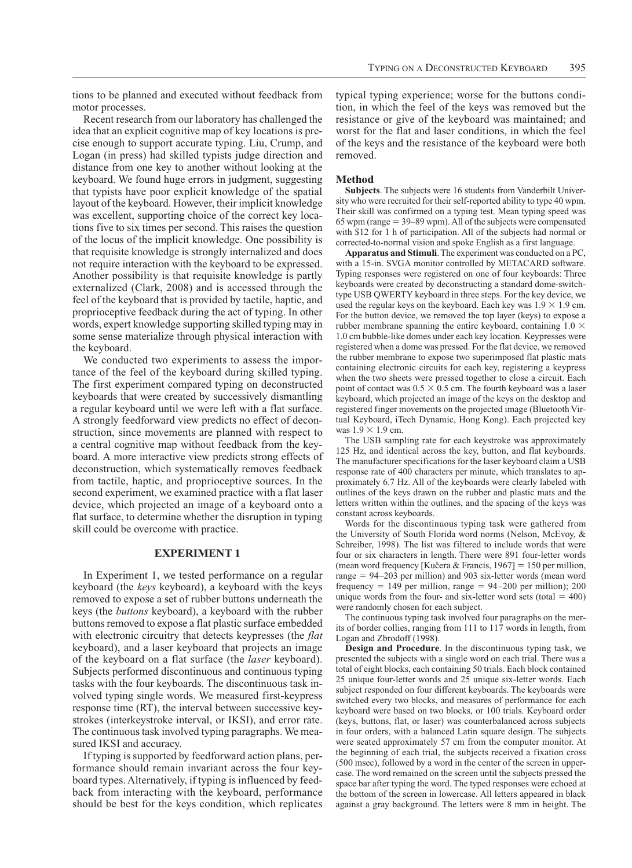tions to be planned and executed without feedback from motor processes.

Recent research from our laboratory has challenged the idea that an explicit cognitive map of key locations is precise enough to support accurate typing. Liu, Crump, and Logan (in press) had skilled typists judge direction and distance from one key to another without looking at the keyboard. We found huge errors in judgment, suggesting that typists have poor explicit knowledge of the spatial layout of the keyboard. However, their implicit knowledge was excellent, supporting choice of the correct key locations five to six times per second. This raises the question of the locus of the implicit knowledge. One possibility is that requisite knowledge is strongly internalized and does not require interaction with the keyboard to be expressed. Another possibility is that requisite knowledge is partly externalized (Clark, 2008) and is accessed through the feel of the keyboard that is provided by tactile, haptic, and proprioceptive feedback during the act of typing. In other words, expert knowledge supporting skilled typing may in some sense materialize through physical interaction with the keyboard.

We conducted two experiments to assess the importance of the feel of the keyboard during skilled typing. The first experiment compared typing on deconstructed keyboards that were created by successively dismantling a regular keyboard until we were left with a flat surface. A strongly feedforward view predicts no effect of deconstruction, since movements are planned with respect to a central cognitive map without feedback from the keyboard. A more interactive view predicts strong effects of deconstruction, which systematically removes feedback from tactile, haptic, and proprioceptive sources. In the second experiment, we examined practice with a flat laser device, which projected an image of a keyboard onto a flat surface, to determine whether the disruption in typing skill could be overcome with practice.

## **Experiment 1**

In Experiment 1, we tested performance on a regular keyboard (the *keys* keyboard), a keyboard with the keys removed to expose a set of rubber buttons underneath the keys (the *buttons* keyboard), a keyboard with the rubber buttons removed to expose a flat plastic surface embedded with electronic circuitry that detects keypresses (the *flat* keyboard), and a laser keyboard that projects an image of the keyboard on a flat surface (the *laser* keyboard). Subjects performed discontinuous and continuous typing tasks with the four keyboards. The discontinuous task involved typing single words. We measured first-keypress response time (RT), the interval between successive keystrokes (interkeystroke interval, or IKSI), and error rate. The continuous task involved typing paragraphs. We measured IKSI and accuracy.

If typing is supported by feedforward action plans, performance should remain invariant across the four keyboard types. Alternatively, if typing is influenced by feedback from interacting with the keyboard, performance should be best for the keys condition, which replicates

typical typing experience; worse for the buttons condition, in which the feel of the keys was removed but the resistance or give of the keyboard was maintained; and worst for the flat and laser conditions, in which the feel of the keys and the resistance of the keyboard were both removed.

#### **Method**

**Subjects**. The subjects were 16 students from Vanderbilt University who were recruited for their self-reported ability to type 40 wpm. Their skill was confirmed on a typing test. Mean typing speed was 65 wpm (range  $= 39-89$  wpm). All of the subjects were compensated with \$12 for 1 h of participation. All of the subjects had normal or corrected-to-normal vision and spoke English as a first language.

**Apparatus and Stimuli**. The experiment was conducted on a PC, with a 15-in. SVGA monitor controlled by METACARD software. Typing responses were registered on one of four keyboards: Three keyboards were created by deconstructing a standard dome-switchtype USB QWERTY keyboard in three steps. For the key device, we used the regular keys on the keyboard. Each key was  $1.9 \times 1.9$  cm. For the button device, we removed the top layer (keys) to expose a rubber membrane spanning the entire keyboard, containing  $1.0 \times$ 1.0 cm bubble-like domes under each key location. Keypresses were registered when a dome was pressed. For the flat device, we removed the rubber membrane to expose two superimposed flat plastic mats containing electronic circuits for each key, registering a keypress when the two sheets were pressed together to close a circuit. Each point of contact was  $0.5 \times 0.5$  cm. The fourth keyboard was a laser keyboard, which projected an image of the keys on the desktop and registered finger movements on the projected image (Bluetooth Virtual Keyboard, iTech Dynamic, Hong Kong). Each projected key was  $1.9 \times 1.9$  cm.

The USB sampling rate for each keystroke was approximately 125 Hz, and identical across the key, button, and flat keyboards. The manufacturer specifications for the laser keyboard claim a USB response rate of 400 characters per minute, which translates to approximately 6.7 Hz. All of the keyboards were clearly labeled with outlines of the keys drawn on the rubber and plastic mats and the letters written within the outlines, and the spacing of the keys was constant across keyboards.

Words for the discontinuous typing task were gathered from the University of South Florida word norms (Nelson, McEvoy, & Schreiber, 1998). The list was filtered to include words that were four or six characters in length. There were 891 four-letter words (mean word frequency [Kučera & Francis, 1967] = 150 per million, range  $= 94-203$  per million) and 903 six-letter words (mean word frequency = 149 per million, range =  $94-200$  per million); 200 unique words from the four- and six-letter word sets (total  $= 400$ ) were randomly chosen for each subject.

The continuous typing task involved four paragraphs on the merits of border collies, ranging from 111 to 117 words in length, from Logan and Zbrodoff (1998).

**Design and Procedure**. In the discontinuous typing task, we presented the subjects with a single word on each trial. There was a total of eight blocks, each containing 50 trials. Each block contained 25 unique four-letter words and 25 unique six-letter words. Each subject responded on four different keyboards. The keyboards were switched every two blocks, and measures of performance for each keyboard were based on two blocks, or 100 trials. Keyboard order (keys, buttons, flat, or laser) was counterbalanced across subjects in four orders, with a balanced Latin square design. The subjects were seated approximately 57 cm from the computer monitor. At the beginning of each trial, the subjects received a fixation cross (500 msec), followed by a word in the center of the screen in uppercase. The word remained on the screen until the subjects pressed the space bar after typing the word. The typed responses were echoed at the bottom of the screen in lowercase. All letters appeared in black against a gray background. The letters were 8 mm in height. The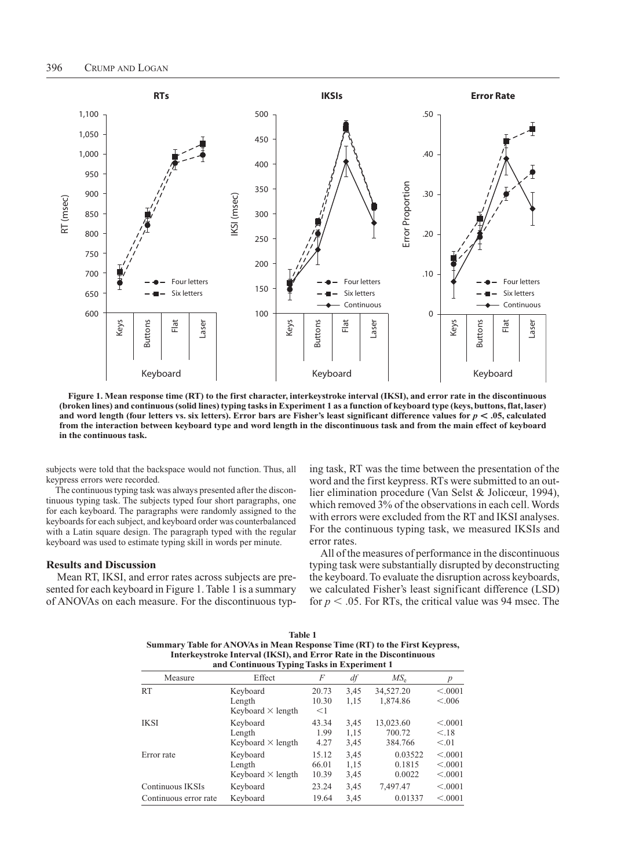

**Figure 1. Mean response time (RT) to the first character, interkeystroke interval (IKSI), and error rate in the discontinuous (broken lines) and continuous (solid lines) typing tasks in Experiment 1 as a function of keyboard type (keys, buttons, flat, laser)**  and word length (four letters vs. six letters). Error bars are Fisher's least significant difference values for  $p < .05$ , calculated **from the interaction between keyboard type and word length in the discontinuous task and from the main effect of keyboard in the continuous task.**

subjects were told that the backspace would not function. Thus, all keypress errors were recorded.

The continuous typing task was always presented after the discontinuous typing task. The subjects typed four short paragraphs, one for each keyboard. The paragraphs were randomly assigned to the keyboards for each subject, and keyboard order was counterbalanced with a Latin square design. The paragraph typed with the regular keyboard was used to estimate typing skill in words per minute.

### **Results and Discussion**

Mean RT, IKSI, and error rates across subjects are presented for each keyboard in Figure 1. Table 1 is a summary of ANOVAs on each measure. For the discontinuous typing task, RT was the time between the presentation of the word and the first keypress. RTs were submitted to an outlier elimination procedure (Van Selst & Jolicœur, 1994), which removed 3% of the observations in each cell. Words with errors were excluded from the RT and IKSI analyses. For the continuous typing task, we measured IKSIs and error rates.

All of the measures of performance in the discontinuous typing task were substantially disrupted by deconstructing the keyboard. To evaluate the disruption across keyboards, we calculated Fisher's least significant difference (LSD) for  $p < .05$ . For RTs, the critical value was 94 msec. The

**Table 1 Summary Table for ANOVAs in Mean Response Time (RT) to the First Keypress, Interkeystroke Interval (IKSI), and Error Rate in the Discontinuous** 

| and Continuous Typing Tasks in Experiment 1 |                                                |                         |                      |                                |                               |  |  |  |  |
|---------------------------------------------|------------------------------------------------|-------------------------|----------------------|--------------------------------|-------------------------------|--|--|--|--|
| Measure                                     | Effect                                         | F                       | df                   | $MS_{\rm e}$                   | p                             |  |  |  |  |
| <b>RT</b>                                   | Keyboard<br>Length<br>Keyboard $\times$ length | 20.73<br>10.30<br>$<$ 1 | 3,45<br>1,15         | 34,527.20<br>1,874.86          | < .0001<br>< 0.006            |  |  |  |  |
| <b>IKSI</b>                                 | Keyboard<br>Length<br>Keyboard $\times$ length | 43.34<br>1.99<br>4.27   | 3,45<br>1,15<br>3,45 | 13,023.60<br>700.72<br>384.766 | < .0001<br>< 18<br>< 0.01     |  |  |  |  |
| Error rate                                  | Keyboard<br>Length<br>Keyboard $\times$ length | 15.12<br>66.01<br>10.39 | 3,45<br>1,15<br>3,45 | 0.03522<br>0.1815<br>0.0022    | < 0.001<br>< .0001<br>< .0001 |  |  |  |  |
| Continuous IKSIs                            | Keyboard                                       | 23.24                   | 3,45                 | 7,497.47                       | < .0001                       |  |  |  |  |
| Continuous error rate                       | Keyboard                                       | 19.64                   | 3,45                 | 0.01337                        | < .0001                       |  |  |  |  |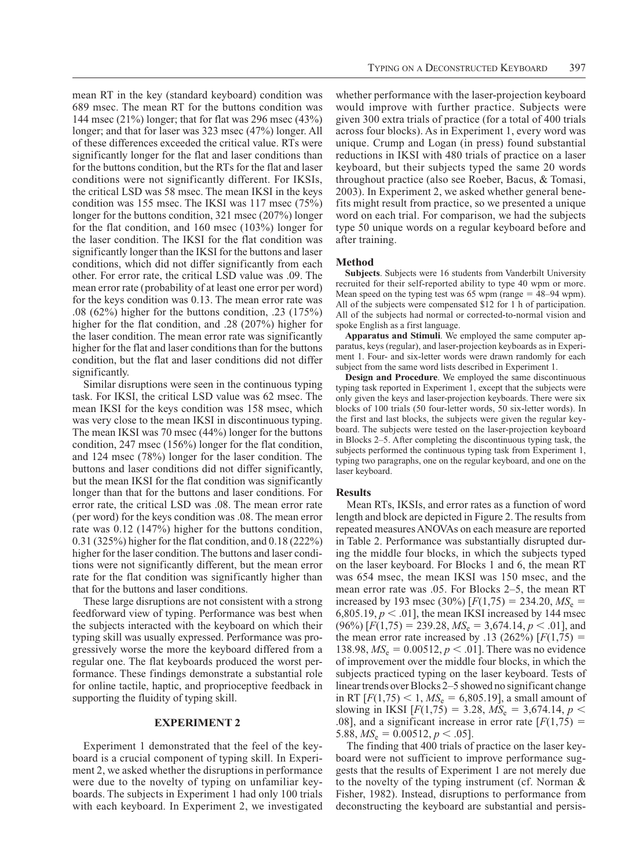mean RT in the key (standard keyboard) condition was 689 msec. The mean RT for the buttons condition was 144 msec (21%) longer; that for flat was 296 msec (43%) longer; and that for laser was 323 msec (47%) longer. All of these differences exceeded the critical value. RTs were significantly longer for the flat and laser conditions than for the buttons condition, but the RTs for the flat and laser conditions were not significantly different. For IKSIs, the critical LSD was 58 msec. The mean IKSI in the keys condition was 155 msec. The IKSI was 117 msec (75%) longer for the buttons condition, 321 msec (207%) longer for the flat condition, and 160 msec (103%) longer for the laser condition. The IKSI for the flat condition was significantly longer than the IKSI for the buttons and laser conditions, which did not differ significantly from each other. For error rate, the critical LSD value was .09. The mean error rate (probability of at least one error per word) for the keys condition was 0.13. The mean error rate was .08 (62%) higher for the buttons condition, .23 (175%) higher for the flat condition, and .28 (207%) higher for the laser condition. The mean error rate was significantly higher for the flat and laser conditions than for the buttons condition, but the flat and laser conditions did not differ significantly.

Similar disruptions were seen in the continuous typing task. For IKSI, the critical LSD value was 62 msec. The mean IKSI for the keys condition was 158 msec, which was very close to the mean IKSI in discontinuous typing. The mean IKSI was 70 msec (44%) longer for the buttons condition, 247 msec (156%) longer for the flat condition, and 124 msec (78%) longer for the laser condition. The buttons and laser conditions did not differ significantly, but the mean IKSI for the flat condition was significantly longer than that for the buttons and laser conditions. For error rate, the critical LSD was .08. The mean error rate (per word) for the keys condition was .08. The mean error rate was 0.12 (147%) higher for the buttons condition, 0.31 (325%) higher for the flat condition, and 0.18 (222%) higher for the laser condition. The buttons and laser conditions were not significantly different, but the mean error rate for the flat condition was significantly higher than that for the buttons and laser conditions.

These large disruptions are not consistent with a strong feedforward view of typing. Performance was best when the subjects interacted with the keyboard on which their typing skill was usually expressed. Performance was progressively worse the more the keyboard differed from a regular one. The flat keyboards produced the worst performance. These findings demonstrate a substantial role for online tactile, haptic, and proprioceptive feedback in supporting the fluidity of typing skill.

## **Experiment 2**

Experiment 1 demonstrated that the feel of the keyboard is a crucial component of typing skill. In Experiment 2, we asked whether the disruptions in performance were due to the novelty of typing on unfamiliar keyboards. The subjects in Experiment 1 had only 100 trials with each keyboard. In Experiment 2, we investigated

whether performance with the laser-projection keyboard would improve with further practice. Subjects were given 300 extra trials of practice (for a total of 400 trials across four blocks). As in Experiment 1, every word was unique. Crump and Logan (in press) found substantial reductions in IKSI with 480 trials of practice on a laser keyboard, but their subjects typed the same 20 words throughout practice (also see Roeber, Bacus, & Tomasi, 2003). In Experiment 2, we asked whether general benefits might result from practice, so we presented a unique word on each trial. For comparison, we had the subjects type 50 unique words on a regular keyboard before and after training.

### **Method**

**Subjects**. Subjects were 16 students from Vanderbilt University recruited for their self-reported ability to type 40 wpm or more. Mean speed on the typing test was  $65$  wpm (range  $= 48 - 94$  wpm). All of the subjects were compensated \$12 for 1 h of participation. All of the subjects had normal or corrected-to-normal vision and spoke English as a first language.

**Apparatus and Stimuli**. We employed the same computer apparatus, keys (regular), and laser-projection keyboards as in Experiment 1. Four- and six-letter words were drawn randomly for each subject from the same word lists described in Experiment 1.

**Design and Procedure**. We employed the same discontinuous typing task reported in Experiment 1, except that the subjects were only given the keys and laser-projection keyboards. There were six blocks of 100 trials (50 four-letter words, 50 six-letter words). In the first and last blocks, the subjects were given the regular keyboard. The subjects were tested on the laser-projection keyboard in Blocks 2–5. After completing the discontinuous typing task, the subjects performed the continuous typing task from Experiment 1, typing two paragraphs, one on the regular keyboard, and one on the laser keyboard.

#### **Results**

Mean RTs, IKSIs, and error rates as a function of word length and block are depicted in Figure 2. The results from repeated measures ANOVAs on each measure are reported in Table 2. Performance was substantially disrupted during the middle four blocks, in which the subjects typed on the laser keyboard. For Blocks 1 and 6, the mean RT was 654 msec, the mean IKSI was 150 msec, and the mean error rate was .05. For Blocks 2–5, the mean RT increased by 193 msec (30%)  $[F(1,75) = 234.20, MS_e =$ 6,805.19,  $p < .01$ ], the mean IKSI increased by 144 msec  $(96\%) [F(1,75) = 239.28, MS_e = 3,674.14, p < .01]$ , and the mean error rate increased by .13 (262%)  $[F(1,75) =$ 138.98,  $MS_e = 0.00512$ ,  $p < .01$ . There was no evidence of improvement over the middle four blocks, in which the subjects practiced typing on the laser keyboard. Tests of linear trends over Blocks 2–5 showed no significant change in RT  $[F(1,75) < 1, MS_e = 6,805.19]$ , a small amount of slowing in IKSI  $[F(1,75) = 3.28, MS_e = 3,674.14, p <$ .08], and a significant increase in error rate  $[F(1,75) =$ 5.88,  $MS_e = 0.00512$ ,  $p < .05$ ].

The finding that 400 trials of practice on the laser keyboard were not sufficient to improve performance suggests that the results of Experiment 1 are not merely due to the novelty of the typing instrument (cf. Norman & Fisher, 1982). Instead, disruptions to performance from deconstructing the keyboard are substantial and persis-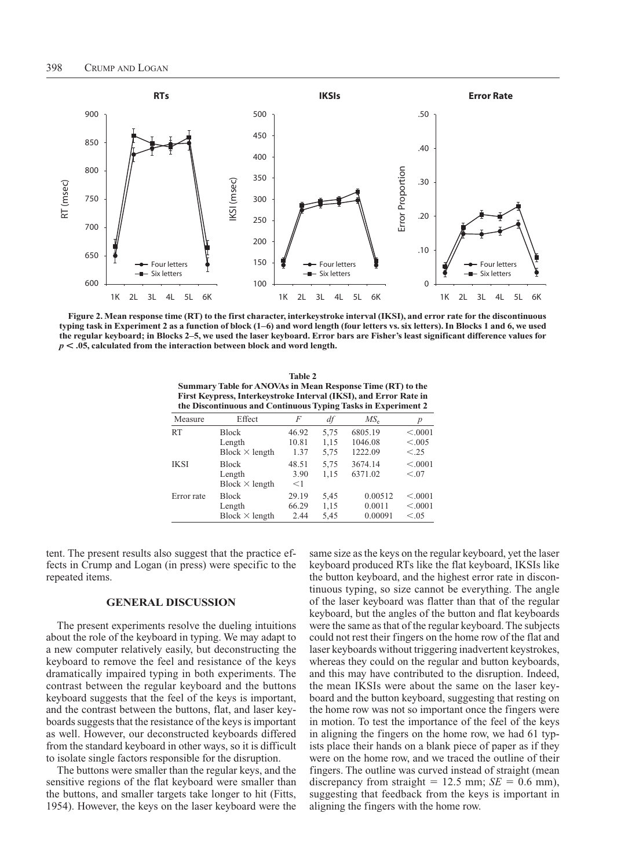

**Figure 2. Mean response time (RT) to the first character, interkeystroke interval (IKSI), and error rate for the discontinuous typing task in Experiment 2 as a function of block (1–6) and word length (four letters vs. six letters). In Blocks 1 and 6, we used the regular keyboard; in Blocks 2–5, we used the laser keyboard. Error bars are Fisher's least significant difference values for**   $p < .05$ , calculated from the interaction between block and word length.

**Table 2 Summary Table for ANOVAs in Mean Response Time (RT) to the First Keypress, Interkeystroke Interval (IKSI), and Error Rate in the Discontinuous and Continuous Typing Tasks in Experiment 2**

| Measure     | Effect                | F     | df   | $MS_{\alpha}$ | Ď       |
|-------------|-----------------------|-------|------|---------------|---------|
| <b>RT</b>   | Block                 | 46.92 | 5,75 | 6805.19       | < .0001 |
|             | Length                | 10.81 | 1,15 | 1046.08       | < 0.005 |
|             | $Block \times length$ | 1.37  | 5,75 | 1222.09       | < .25   |
| <b>IKSI</b> | <b>Block</b>          | 48.51 | 5,75 | 3674.14       | < .0001 |
|             | Length                | 3.90  | 1,15 | 6371.02       | < 0.07  |
|             | $Block \times length$ | $<$ 1 |      |               |         |
| Error rate  | Block                 | 29.19 | 5,45 | 0.00512       | < .0001 |
|             | Length                | 66.29 | 1,15 | 0.0011        | < .0001 |
|             | $Block \times length$ | 2.44  | 5,45 | 0.00091       | < 0.05  |

tent. The present results also suggest that the practice effects in Crump and Logan (in press) were specific to the repeated items.

#### **General Discussion**

The present experiments resolve the dueling intuitions about the role of the keyboard in typing. We may adapt to a new computer relatively easily, but deconstructing the keyboard to remove the feel and resistance of the keys dramatically impaired typing in both experiments. The contrast between the regular keyboard and the buttons keyboard suggests that the feel of the keys is important, and the contrast between the buttons, flat, and laser keyboards suggests that the resistance of the keys is important as well. However, our deconstructed keyboards differed from the standard keyboard in other ways, so it is difficult to isolate single factors responsible for the disruption.

The buttons were smaller than the regular keys, and the sensitive regions of the flat keyboard were smaller than the buttons, and smaller targets take longer to hit (Fitts, 1954). However, the keys on the laser keyboard were the

same size as the keys on the regular keyboard, yet the laser keyboard produced RTs like the flat keyboard, IKSIs like the button keyboard, and the highest error rate in discontinuous typing, so size cannot be everything. The angle of the laser keyboard was flatter than that of the regular keyboard, but the angles of the button and flat keyboards were the same as that of the regular keyboard. The subjects could not rest their fingers on the home row of the flat and laser keyboards without triggering inadvertent keystrokes, whereas they could on the regular and button keyboards, and this may have contributed to the disruption. Indeed, the mean IKSIs were about the same on the laser keyboard and the button keyboard, suggesting that resting on the home row was not so important once the fingers were in motion. To test the importance of the feel of the keys in aligning the fingers on the home row, we had 61 typists place their hands on a blank piece of paper as if they were on the home row, and we traced the outline of their fingers. The outline was curved instead of straight (mean discrepancy from straight =  $12.5$  mm;  $SE = 0.6$  mm), suggesting that feedback from the keys is important in aligning the fingers with the home row.